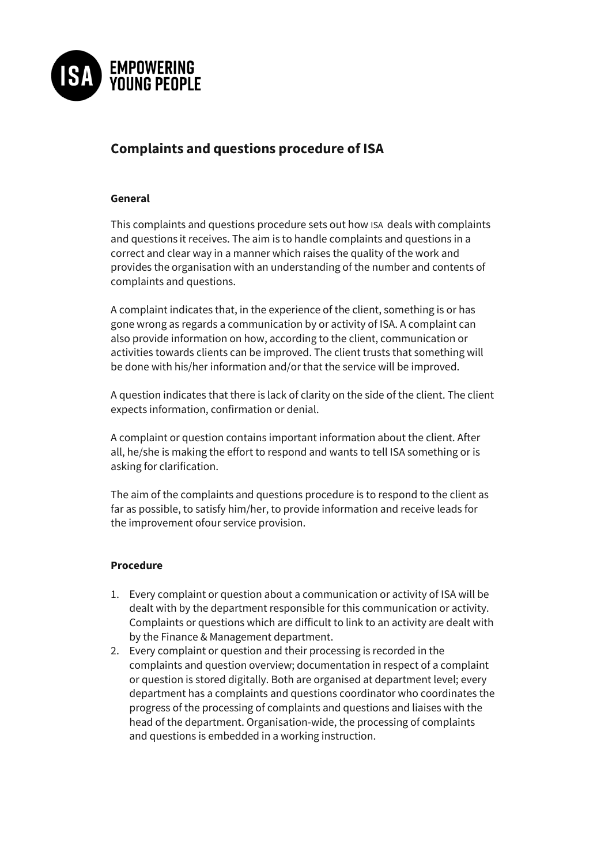

## **Complaints and questions procedure of ISA**

## **General**

This complaints and questions procedure sets out how ISA deals with complaints and questions it receives. The aim is to handle complaints and questions in a correct and clear way in a manner which raises the quality of the work and provides the organisation with an understanding of the number and contents of complaints and questions.

A complaint indicates that, in the experience of the client, something is or has gone wrong as regards a communication by or activity of ISA. A complaint can also provide information on how, according to the client, communication or activities towards clients can be improved. The client trusts that something will be done with his/her information and/or that the service will be improved.

A question indicates that there is lack of clarity on the side of the client. The client expects information, confirmation or denial.

A complaint or question contains important information about the client. After all, he/she is making the effort to respond and wants to tell ISA something or is asking for clarification.

The aim of the complaints and questions procedure is to respond to the client as far as possible, to satisfy him/her, to provide information and receive leads for the improvement ofour service provision.

## **Procedure**

- 1. Every complaint or question about a communication or activity of ISA will be dealt with by the department responsible for this communication or activity. Complaints or questions which are difficult to link to an activity are dealt with by the Finance & Management department.
- 2. Every complaint or question and their processing is recorded in the complaints and question overview; documentation in respect of a complaint or question is stored digitally. Both are organised at department level; every department has a complaints and questions coordinator who coordinates the progress of the processing of complaints and questions and liaises with the head of the department. Organisation-wide, the processing of complaints and questions is embedded in a working instruction.